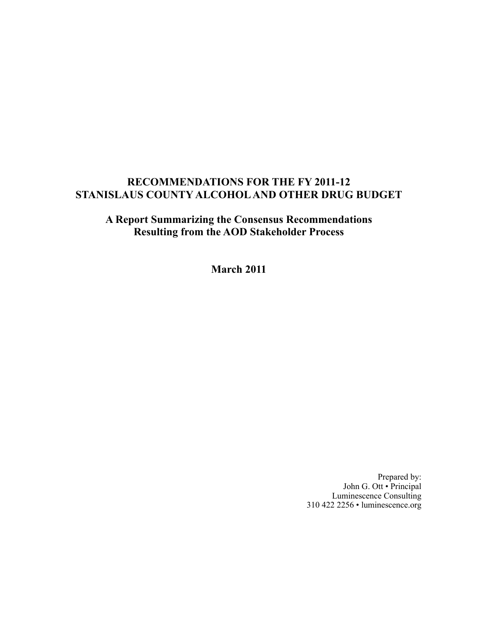## **RECOMMENDATIONS FOR THE FY 2011-12 STANISLAUS COUNTY ALCOHOL AND OTHER DRUG BUDGET**

**A Report Summarizing the Consensus Recommendations Resulting from the AOD Stakeholder Process**

**March 2011**

Prepared by: John G. Ott • Principal Luminescence Consulting 310 422 2256 • luminescence.org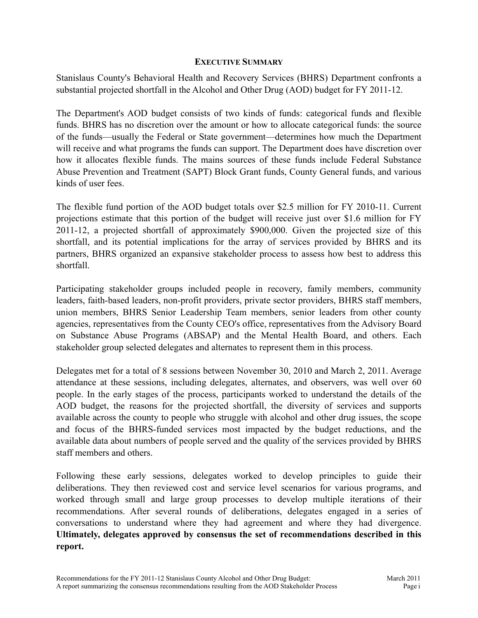## **EXECUTIVE SUMMARY**

Stanislaus County's Behavioral Health and Recovery Services (BHRS) Department confronts a substantial projected shortfall in the Alcohol and Other Drug (AOD) budget for FY 2011-12.

The Department's AOD budget consists of two kinds of funds: categorical funds and flexible funds. BHRS has no discretion over the amount or how to allocate categorical funds: the source of the funds—usually the Federal or State government—determines how much the Department will receive and what programs the funds can support. The Department does have discretion over how it allocates flexible funds. The mains sources of these funds include Federal Substance Abuse Prevention and Treatment (SAPT) Block Grant funds, County General funds, and various kinds of user fees.

The flexible fund portion of the AOD budget totals over \$2.5 million for FY 2010-11. Current projections estimate that this portion of the budget will receive just over \$1.6 million for FY 2011-12, a projected shortfall of approximately \$900,000. Given the projected size of this shortfall, and its potential implications for the array of services provided by BHRS and its partners, BHRS organized an expansive stakeholder process to assess how best to address this shortfall.

Participating stakeholder groups included people in recovery, family members, community leaders, faith-based leaders, non-profit providers, private sector providers, BHRS staff members, union members, BHRS Senior Leadership Team members, senior leaders from other county agencies, representatives from the County CEO's office, representatives from the Advisory Board on Substance Abuse Programs (ABSAP) and the Mental Health Board, and others. Each stakeholder group selected delegates and alternates to represent them in this process.

Delegates met for a total of 8 sessions between November 30, 2010 and March 2, 2011. Average attendance at these sessions, including delegates, alternates, and observers, was well over 60 people. In the early stages of the process, participants worked to understand the details of the AOD budget, the reasons for the projected shortfall, the diversity of services and supports available across the county to people who struggle with alcohol and other drug issues, the scope and focus of the BHRS-funded services most impacted by the budget reductions, and the available data about numbers of people served and the quality of the services provided by BHRS staff members and others.

Following these early sessions, delegates worked to develop principles to guide their deliberations. They then reviewed cost and service level scenarios for various programs, and worked through small and large group processes to develop multiple iterations of their recommendations. After several rounds of deliberations, delegates engaged in a series of conversations to understand where they had agreement and where they had divergence. **Ultimately, delegates approved by consensus the set of recommendations described in this report.**